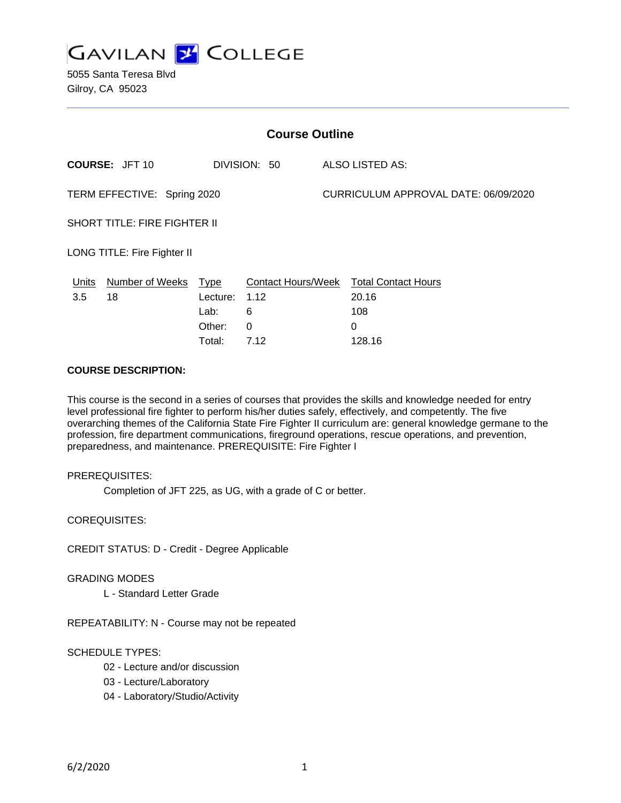

5055 Santa Teresa Blvd Gilroy, CA 95023

| <b>Course Outline</b>               |                                       |                  |                                   |  |                                      |  |
|-------------------------------------|---------------------------------------|------------------|-----------------------------------|--|--------------------------------------|--|
|                                     | <b>COURSE: JFT 10</b><br>DIVISION: 50 |                  | ALSO LISTED AS:                   |  |                                      |  |
| TERM EFFECTIVE: Spring 2020         |                                       |                  |                                   |  | CURRICULUM APPROVAL DATE: 06/09/2020 |  |
| <b>SHORT TITLE: FIRE FIGHTER II</b> |                                       |                  |                                   |  |                                      |  |
| LONG TITLE: Fire Fighter II         |                                       |                  |                                   |  |                                      |  |
| Units<br>3.5                        | Number of Weeks<br>18                 | Type<br>Lecture: | <b>Contact Hours/Week</b><br>1.12 |  | <b>Total Contact Hours</b><br>20.16  |  |
|                                     |                                       | Lab:             | 6                                 |  | 108                                  |  |
|                                     |                                       | Other:           | 0                                 |  | 0                                    |  |
|                                     |                                       | Total:           | 7.12                              |  | 128.16                               |  |

### **COURSE DESCRIPTION:**

This course is the second in a series of courses that provides the skills and knowledge needed for entry level professional fire fighter to perform his/her duties safely, effectively, and competently. The five overarching themes of the California State Fire Fighter II curriculum are: general knowledge germane to the profession, fire department communications, fireground operations, rescue operations, and prevention, preparedness, and maintenance. PREREQUISITE: Fire Fighter I

#### PREREQUISITES:

Completion of JFT 225, as UG, with a grade of C or better.

COREQUISITES:

CREDIT STATUS: D - Credit - Degree Applicable

#### GRADING MODES

L - Standard Letter Grade

REPEATABILITY: N - Course may not be repeated

# SCHEDULE TYPES:

- 02 Lecture and/or discussion
- 03 Lecture/Laboratory
- 04 Laboratory/Studio/Activity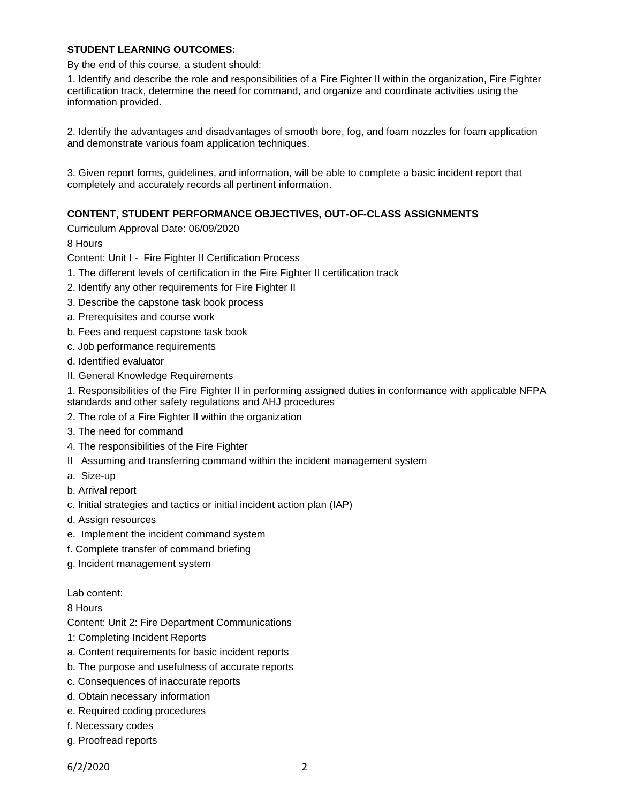### **STUDENT LEARNING OUTCOMES:**

By the end of this course, a student should:

1. Identify and describe the role and responsibilities of a Fire Fighter II within the organization, Fire Fighter certification track, determine the need for command, and organize and coordinate activities using the information provided.

2. Identify the advantages and disadvantages of smooth bore, fog, and foam nozzles for foam application and demonstrate various foam application techniques.

3. Given report forms, guidelines, and information, will be able to complete a basic incident report that completely and accurately records all pertinent information.

### **CONTENT, STUDENT PERFORMANCE OBJECTIVES, OUT-OF-CLASS ASSIGNMENTS**

Curriculum Approval Date: 06/09/2020

8 Hours

Content: Unit I - Fire Fighter II Certification Process

- 1. The different levels of certification in the Fire Fighter II certification track
- 2. Identify any other requirements for Fire Fighter II
- 3. Describe the capstone task book process
- a. Prerequisites and course work
- b. Fees and request capstone task book
- c. Job performance requirements
- d. Identified evaluator
- II. General Knowledge Requirements
- 1. Responsibilities of the Fire Fighter II in performing assigned duties in conformance with applicable NFPA standards and other safety regulations and AHJ procedures
- 2. The role of a Fire Fighter II within the organization
- 3. The need for command
- 4. The responsibilities of the Fire Fighter
- II Assuming and transferring command within the incident management system
- a. Size-up
- b. Arrival report
- c. Initial strategies and tactics or initial incident action plan (IAP)
- d. Assign resources
- e. Implement the incident command system
- f. Complete transfer of command briefing
- g. Incident management system

Lab content:

8 Hours

Content: Unit 2: Fire Department Communications

- 1: Completing Incident Reports
- a. Content requirements for basic incident reports
- b. The purpose and usefulness of accurate reports
- c. Consequences of inaccurate reports
- d. Obtain necessary information
- e. Required coding procedures
- f. Necessary codes
- g. Proofread reports

6/2/2020 2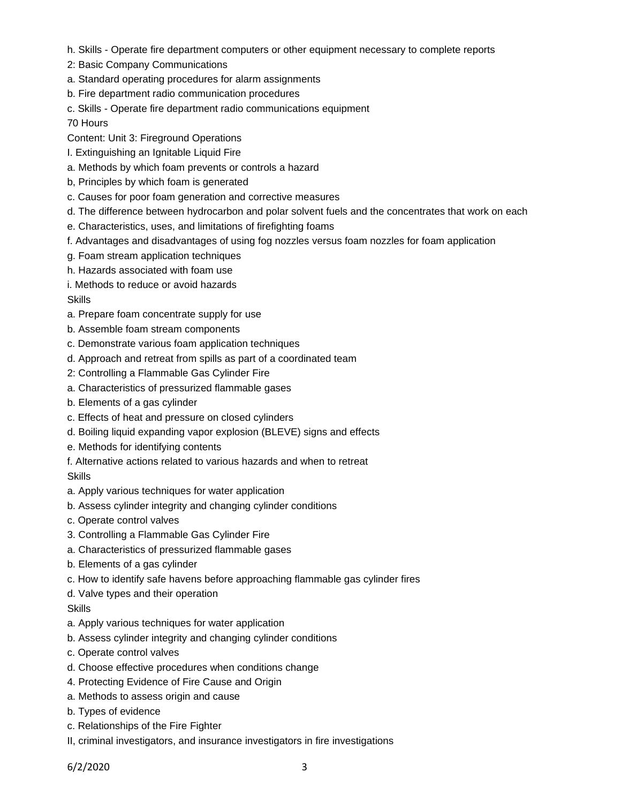- h. Skills Operate fire department computers or other equipment necessary to complete reports
- 2: Basic Company Communications
- a. Standard operating procedures for alarm assignments
- b. Fire department radio communication procedures
- c. Skills Operate fire department radio communications equipment

70 Hours

Content: Unit 3: Fireground Operations

- I. Extinguishing an Ignitable Liquid Fire
- a. Methods by which foam prevents or controls a hazard
- b, Principles by which foam is generated
- c. Causes for poor foam generation and corrective measures
- d. The difference between hydrocarbon and polar solvent fuels and the concentrates that work on each
- e. Characteristics, uses, and limitations of firefighting foams
- f. Advantages and disadvantages of using fog nozzles versus foam nozzles for foam application
- g. Foam stream application techniques
- h. Hazards associated with foam use

i. Methods to reduce or avoid hazards

**Skills** 

- a. Prepare foam concentrate supply for use
- b. Assemble foam stream components
- c. Demonstrate various foam application techniques
- d. Approach and retreat from spills as part of a coordinated team
- 2: Controlling a Flammable Gas Cylinder Fire
- a. Characteristics of pressurized flammable gases
- b. Elements of a gas cylinder
- c. Effects of heat and pressure on closed cylinders
- d. Boiling liquid expanding vapor explosion (BLEVE) signs and effects
- e. Methods for identifying contents
- f. Alternative actions related to various hazards and when to retreat

#### Skills

- a. Apply various techniques for water application
- b. Assess cylinder integrity and changing cylinder conditions
- c. Operate control valves
- 3. Controlling a Flammable Gas Cylinder Fire
- a. Characteristics of pressurized flammable gases
- b. Elements of a gas cylinder
- c. How to identify safe havens before approaching flammable gas cylinder fires
- d. Valve types and their operation

#### **Skills**

- a. Apply various techniques for water application
- b. Assess cylinder integrity and changing cylinder conditions
- c. Operate control valves
- d. Choose effective procedures when conditions change
- 4. Protecting Evidence of Fire Cause and Origin
- a. Methods to assess origin and cause
- b. Types of evidence
- c. Relationships of the Fire Fighter
- II, criminal investigators, and insurance investigators in fire investigations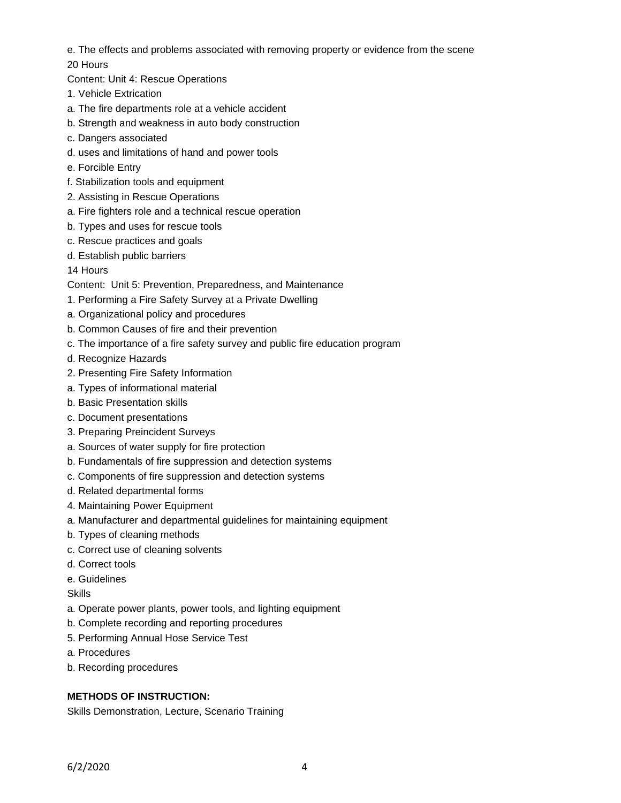- e. The effects and problems associated with removing property or evidence from the scene
- 20 Hours
- Content: Unit 4: Rescue Operations
- 1. Vehicle Extrication
- a. The fire departments role at a vehicle accident
- b. Strength and weakness in auto body construction
- c. Dangers associated
- d. uses and limitations of hand and power tools
- e. Forcible Entry
- f. Stabilization tools and equipment
- 2. Assisting in Rescue Operations
- a. Fire fighters role and a technical rescue operation
- b. Types and uses for rescue tools
- c. Rescue practices and goals
- d. Establish public barriers
- 14 Hours

Content: Unit 5: Prevention, Preparedness, and Maintenance

- 1. Performing a Fire Safety Survey at a Private Dwelling
- a. Organizational policy and procedures
- b. Common Causes of fire and their prevention
- c. The importance of a fire safety survey and public fire education program
- d. Recognize Hazards
- 2. Presenting Fire Safety Information
- a. Types of informational material
- b. Basic Presentation skills
- c. Document presentations
- 3. Preparing Preincident Surveys
- a. Sources of water supply for fire protection
- b. Fundamentals of fire suppression and detection systems
- c. Components of fire suppression and detection systems
- d. Related departmental forms
- 4. Maintaining Power Equipment
- a. Manufacturer and departmental guidelines for maintaining equipment
- b. Types of cleaning methods
- c. Correct use of cleaning solvents
- d. Correct tools
- e. Guidelines

Skills

- a. Operate power plants, power tools, and lighting equipment
- b. Complete recording and reporting procedures
- 5. Performing Annual Hose Service Test
- a. Procedures
- b. Recording procedures

# **METHODS OF INSTRUCTION:**

Skills Demonstration, Lecture, Scenario Training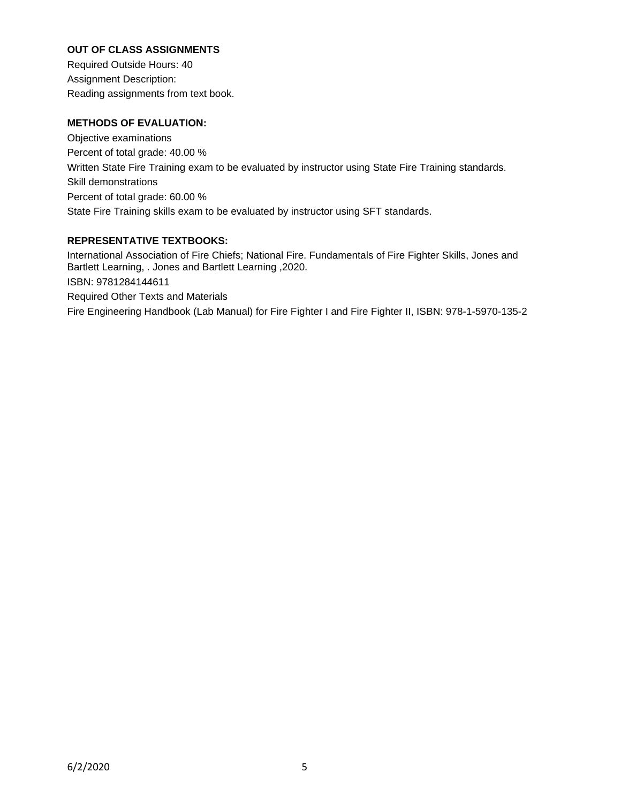# **OUT OF CLASS ASSIGNMENTS**

Required Outside Hours: 40 Assignment Description: Reading assignments from text book.

# **METHODS OF EVALUATION:**

Objective examinations Percent of total grade: 40.00 % Written State Fire Training exam to be evaluated by instructor using State Fire Training standards. Skill demonstrations Percent of total grade: 60.00 % State Fire Training skills exam to be evaluated by instructor using SFT standards.

## **REPRESENTATIVE TEXTBOOKS:**

International Association of Fire Chiefs; National Fire. Fundamentals of Fire Fighter Skills, Jones and Bartlett Learning, . Jones and Bartlett Learning ,2020. ISBN: 9781284144611 Required Other Texts and Materials Fire Engineering Handbook (Lab Manual) for Fire Fighter I and Fire Fighter II, ISBN: 978-1-5970-135-2